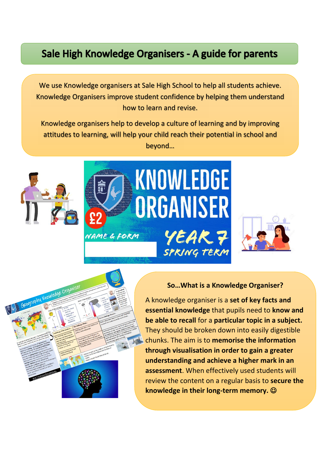## Sale High Knowledge Organisers - A guide for parents

We use Knowledge organisers at Sale High School to help all students achieve. Knowledge Organisers improve student confidence by helping them understand how to learn and revise.

Knowledge organisers help to develop a culture of learning and by improving attitudes to learning, will help your child reach their potential in school and beyond…









## **So…What is a Knowledge Organiser?**

A knowledge organiser is a **set of key facts and essential knowledge** that pupils need to **know and be able to recall** for a **particular topic in a subject.** They should be broken down into easily digestible chunks. The aim is to **memorise the information through visualisation in order to gain a greater understanding and achieve a higher mark in an assessment**. When effectively used students will review the content on a regular basis to **secure the knowledge in their long-term memory.**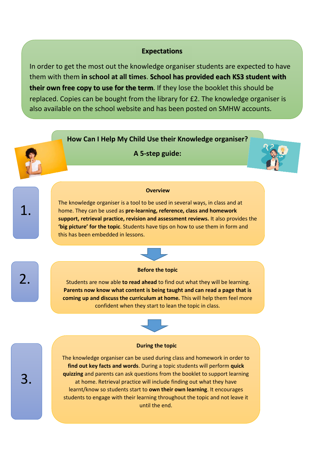## **Expectations**

In order to get the most out the knowledge organiser students are expected to have them with them **in school at all times**. **School has provided each KS3 student with their own free copy to use for the term**. If they lose the booklet this should be replaced. Copies can be bought from the library for £2. The knowledge organiser is also available on the school website and has been posted on SMHW accounts.